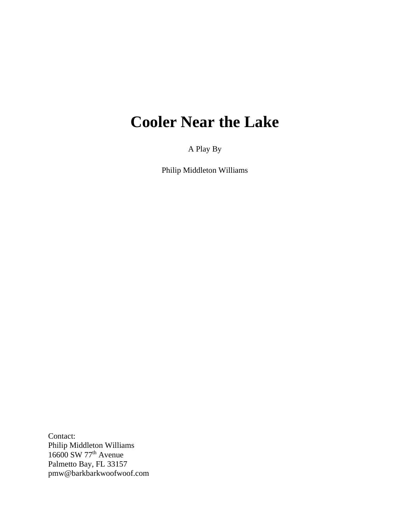# **Cooler Near the Lake**

A Play By

Philip Middleton Williams

Contact: Philip Middleton Williams 16600 SW 77<sup>th</sup> Avenue Palmetto Bay, FL 33157 pmw@barkbarkwoofwoof.com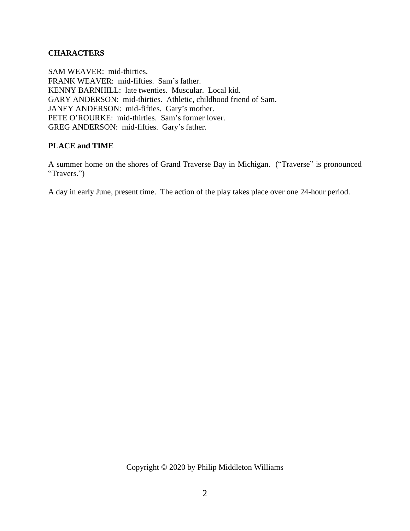## **CHARACTERS**

SAM WEAVER: mid-thirties. FRANK WEAVER: mid-fifties. Sam's father. KENNY BARNHILL: late twenties. Muscular. Local kid. GARY ANDERSON: mid-thirties. Athletic, childhood friend of Sam. JANEY ANDERSON: mid-fifties. Gary's mother. PETE O'ROURKE: mid-thirties. Sam's former lover. GREG ANDERSON: mid-fifties. Gary's father.

### **PLACE and TIME**

A summer home on the shores of Grand Traverse Bay in Michigan. ("Traverse" is pronounced "Travers.")

A day in early June, present time. The action of the play takes place over one 24-hour period.

Copyright © 2020 by Philip Middleton Williams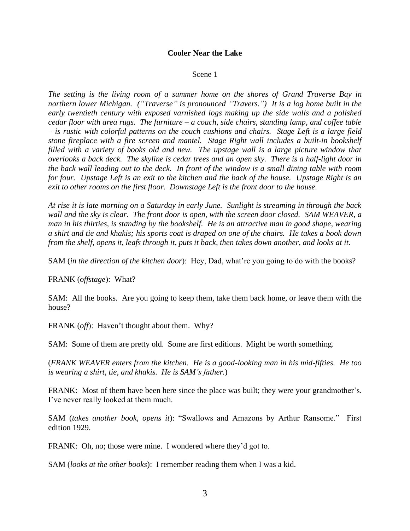#### **Cooler Near the Lake**

#### Scene 1

*The setting is the living room of a summer home on the shores of Grand Traverse Bay in northern lower Michigan. ("Traverse" is pronounced "Travers.") It is a log home built in the early twentieth century with exposed varnished logs making up the side walls and a polished cedar floor with area rugs. The furniture – a couch, side chairs, standing lamp, and coffee table – is rustic with colorful patterns on the couch cushions and chairs. Stage Left is a large field stone fireplace with a fire screen and mantel. Stage Right wall includes a built-in bookshelf filled with a variety of books old and new. The upstage wall is a large picture window that overlooks a back deck. The skyline is cedar trees and an open sky. There is a half-light door in the back wall leading out to the deck. In front of the window is a small dining table with room for four. Upstage Left is an exit to the kitchen and the back of the house. Upstage Right is an exit to other rooms on the first floor. Downstage Left is the front door to the house.*

*At rise it is late morning on a Saturday in early June. Sunlight is streaming in through the back wall and the sky is clear. The front door is open, with the screen door closed. SAM WEAVER, a man in his thirties, is standing by the bookshelf. He is an attractive man in good shape, wearing a shirt and tie and khakis; his sports coat is draped on one of the chairs. He takes a book down from the shelf, opens it, leafs through it, puts it back, then takes down another, and looks at it.*

SAM (*in the direction of the kitchen door*): Hey, Dad, what're you going to do with the books?

FRANK (*offstage*): What?

SAM: All the books. Are you going to keep them, take them back home, or leave them with the house?

FRANK (*off*): Haven't thought about them. Why?

SAM: Some of them are pretty old. Some are first editions. Might be worth something.

(*FRANK WEAVER enters from the kitchen. He is a good-looking man in his mid-fifties. He too is wearing a shirt, tie, and khakis. He is SAM's father.*)

FRANK: Most of them have been here since the place was built; they were your grandmother's. I've never really looked at them much.

SAM (*takes another book, opens it*): "Swallows and Amazons by Arthur Ransome." First edition 1929.

FRANK: Oh, no; those were mine. I wondered where they'd got to.

SAM (*looks at the other books*): I remember reading them when I was a kid.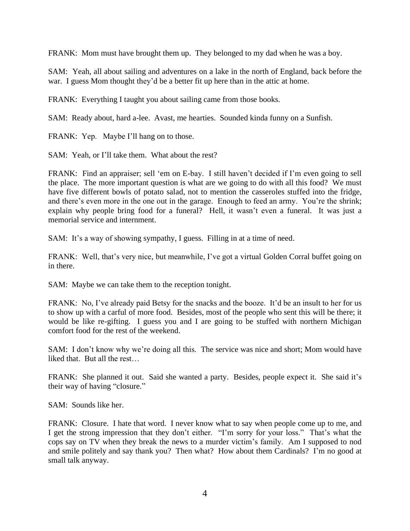FRANK: Mom must have brought them up. They belonged to my dad when he was a boy.

SAM: Yeah, all about sailing and adventures on a lake in the north of England, back before the war. I guess Mom thought they'd be a better fit up here than in the attic at home.

FRANK: Everything I taught you about sailing came from those books.

SAM: Ready about, hard a-lee. Avast, me hearties. Sounded kinda funny on a Sunfish.

FRANK: Yep. Maybe I'll hang on to those.

SAM: Yeah, or I'll take them. What about the rest?

FRANK: Find an appraiser; sell 'em on E-bay. I still haven't decided if I'm even going to sell the place. The more important question is what are we going to do with all this food? We must have five different bowls of potato salad, not to mention the casseroles stuffed into the fridge, and there's even more in the one out in the garage. Enough to feed an army. You're the shrink; explain why people bring food for a funeral? Hell, it wasn't even a funeral. It was just a memorial service and internment.

SAM: It's a way of showing sympathy, I guess. Filling in at a time of need.

FRANK: Well, that's very nice, but meanwhile, I've got a virtual Golden Corral buffet going on in there.

SAM: Maybe we can take them to the reception tonight.

FRANK: No, I've already paid Betsy for the snacks and the booze. It'd be an insult to her for us to show up with a carful of more food. Besides, most of the people who sent this will be there; it would be like re-gifting. I guess you and I are going to be stuffed with northern Michigan comfort food for the rest of the weekend.

SAM: I don't know why we're doing all this. The service was nice and short; Mom would have liked that. But all the rest…

FRANK: She planned it out. Said she wanted a party. Besides, people expect it. She said it's their way of having "closure."

SAM: Sounds like her.

FRANK: Closure. I hate that word. I never know what to say when people come up to me, and I get the strong impression that they don't either. "I'm sorry for your loss." That's what the cops say on TV when they break the news to a murder victim's family. Am I supposed to nod and smile politely and say thank you? Then what? How about them Cardinals? I'm no good at small talk anyway.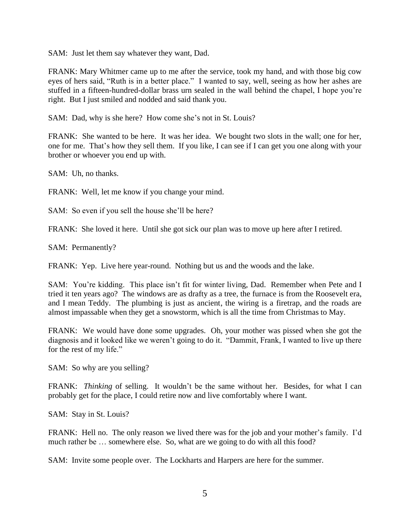SAM: Just let them say whatever they want, Dad.

FRANK: Mary Whitmer came up to me after the service, took my hand, and with those big cow eyes of hers said, "Ruth is in a better place." I wanted to say, well, seeing as how her ashes are stuffed in a fifteen-hundred-dollar brass urn sealed in the wall behind the chapel, I hope you're right. But I just smiled and nodded and said thank you.

SAM: Dad, why is she here? How come she's not in St. Louis?

FRANK: She wanted to be here. It was her idea. We bought two slots in the wall; one for her, one for me. That's how they sell them. If you like, I can see if I can get you one along with your brother or whoever you end up with.

SAM: Uh, no thanks.

FRANK: Well, let me know if you change your mind.

SAM: So even if you sell the house she'll be here?

FRANK: She loved it here. Until she got sick our plan was to move up here after I retired.

SAM: Permanently?

FRANK: Yep. Live here year-round. Nothing but us and the woods and the lake.

SAM: You're kidding. This place isn't fit for winter living, Dad. Remember when Pete and I tried it ten years ago? The windows are as drafty as a tree, the furnace is from the Roosevelt era, and I mean Teddy. The plumbing is just as ancient, the wiring is a firetrap, and the roads are almost impassable when they get a snowstorm, which is all the time from Christmas to May.

FRANK: We would have done some upgrades. Oh, your mother was pissed when she got the diagnosis and it looked like we weren't going to do it. "Dammit, Frank, I wanted to live up there for the rest of my life."

SAM: So why are you selling?

FRANK: *Thinking* of selling. It wouldn't be the same without her. Besides, for what I can probably get for the place, I could retire now and live comfortably where I want.

SAM: Stay in St. Louis?

FRANK: Hell no. The only reason we lived there was for the job and your mother's family. I'd much rather be ... somewhere else. So, what are we going to do with all this food?

SAM: Invite some people over. The Lockharts and Harpers are here for the summer.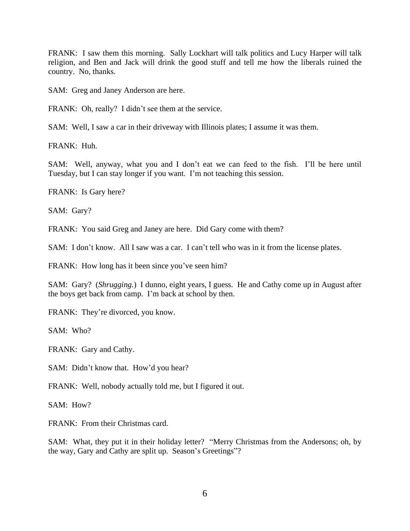FRANK: I saw them this morning. Sally Lockhart will talk politics and Lucy Harper will talk religion, and Ben and Jack will drink the good stuff and tell me how the liberals ruined the country. No, thanks.

SAM: Greg and Janey Anderson are here.

FRANK: Oh, really? I didn't see them at the service.

SAM: Well, I saw a car in their driveway with Illinois plates; I assume it was them.

FRANK: Huh.

SAM: Well, anyway, what you and I don't eat we can feed to the fish. I'll be here until Tuesday, but I can stay longer if you want. I'm not teaching this session.

FRANK: Is Gary here?

SAM: Gary?

FRANK: You said Greg and Janey are here. Did Gary come with them?

SAM: I don't know. All I saw was a car. I can't tell who was in it from the license plates.

FRANK: How long has it been since you've seen him?

SAM: Gary? (*Shrugging.*) I dunno, eight years, I guess. He and Cathy come up in August after the boys get back from camp. I'm back at school by then.

FRANK: They're divorced, you know.

SAM: Who?

FRANK: Gary and Cathy.

SAM: Didn't know that. How'd you hear?

FRANK: Well, nobody actually told me, but I figured it out.

SAM: How?

FRANK: From their Christmas card.

SAM: What, they put it in their holiday letter? "Merry Christmas from the Andersons; oh, by the way, Gary and Cathy are split up. Season's Greetings"?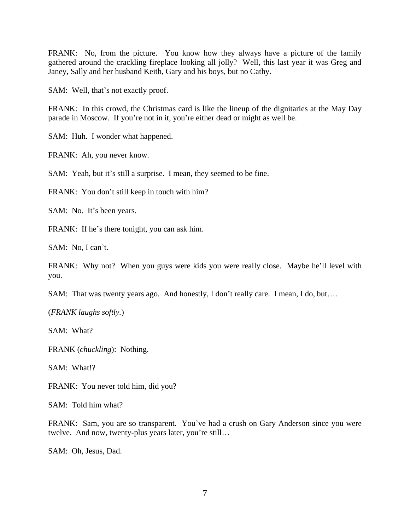FRANK: No, from the picture. You know how they always have a picture of the family gathered around the crackling fireplace looking all jolly? Well, this last year it was Greg and Janey, Sally and her husband Keith, Gary and his boys, but no Cathy.

SAM: Well, that's not exactly proof.

FRANK: In this crowd, the Christmas card is like the lineup of the dignitaries at the May Day parade in Moscow. If you're not in it, you're either dead or might as well be.

SAM: Huh. I wonder what happened.

FRANK: Ah, you never know.

SAM: Yeah, but it's still a surprise. I mean, they seemed to be fine.

FRANK: You don't still keep in touch with him?

SAM: No. It's been years.

FRANK: If he's there tonight, you can ask him.

SAM: No, I can't.

FRANK: Why not? When you guys were kids you were really close. Maybe he'll level with you.

SAM: That was twenty years ago. And honestly, I don't really care. I mean, I do, but....

(*FRANK laughs softly.*)

SAM: What?

FRANK (*chuckling*): Nothing.

SAM: What!?

FRANK: You never told him, did you?

SAM: Told him what?

FRANK: Sam, you are so transparent. You've had a crush on Gary Anderson since you were twelve. And now, twenty-plus years later, you're still…

SAM: Oh, Jesus, Dad.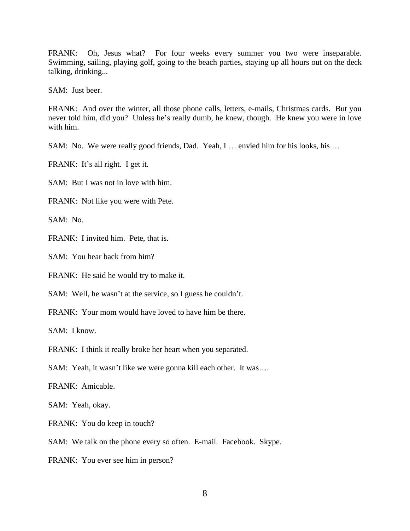FRANK: Oh, Jesus what? For four weeks every summer you two were inseparable. Swimming, sailing, playing golf, going to the beach parties, staying up all hours out on the deck talking, drinking...

SAM: Just beer.

FRANK: And over the winter, all those phone calls, letters, e-mails, Christmas cards. But you never told him, did you? Unless he's really dumb, he knew, though. He knew you were in love with him.

SAM: No. We were really good friends, Dad. Yeah, I … envied him for his looks, his …

FRANK: It's all right. I get it.

SAM: But I was not in love with him.

FRANK: Not like you were with Pete.

SAM: No.

FRANK: I invited him. Pete, that is.

SAM: You hear back from him?

FRANK: He said he would try to make it.

SAM: Well, he wasn't at the service, so I guess he couldn't.

FRANK: Your mom would have loved to have him be there.

SAM: I know.

FRANK: I think it really broke her heart when you separated.

SAM: Yeah, it wasn't like we were gonna kill each other. It was….

FRANK: Amicable.

SAM: Yeah, okay.

FRANK: You do keep in touch?

SAM: We talk on the phone every so often. E-mail. Facebook. Skype.

FRANK: You ever see him in person?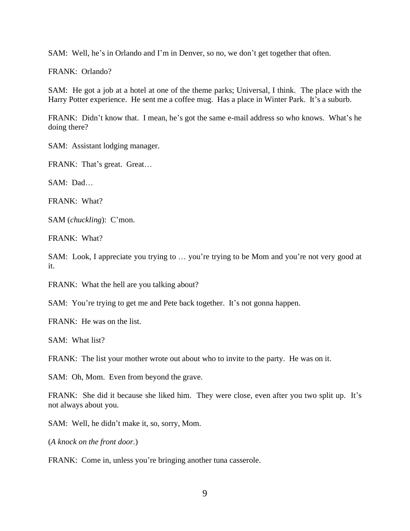SAM: Well, he's in Orlando and I'm in Denver, so no, we don't get together that often.

FRANK: Orlando?

SAM: He got a job at a hotel at one of the theme parks; Universal, I think. The place with the Harry Potter experience. He sent me a coffee mug. Has a place in Winter Park. It's a suburb.

FRANK: Didn't know that. I mean, he's got the same e-mail address so who knows. What's he doing there?

SAM: Assistant lodging manager.

FRANK: That's great. Great…

SAM: Dad…

FRANK: What?

SAM (*chuckling*): C'mon.

FRANK: What?

SAM: Look, I appreciate you trying to … you're trying to be Mom and you're not very good at it.

FRANK: What the hell are you talking about?

SAM: You're trying to get me and Pete back together. It's not gonna happen.

FRANK: He was on the list.

SAM: What list?

FRANK: The list your mother wrote out about who to invite to the party. He was on it.

SAM: Oh, Mom. Even from beyond the grave.

FRANK: She did it because she liked him. They were close, even after you two split up. It's not always about you.

SAM: Well, he didn't make it, so, sorry, Mom.

(*A knock on the front door.*)

FRANK: Come in, unless you're bringing another tuna casserole.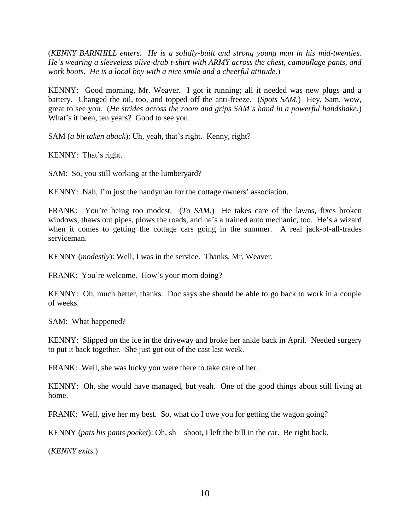(*KENNY BARNHILL enters. He is a solidly-built and strong young man in his mid-twenties. He's wearing a sleeveless olive-drab t-shirt with ARMY across the chest, camouflage pants, and work boots. He is a local boy with a nice smile and a cheerful attitude.*)

KENNY: Good morning, Mr. Weaver. I got it running; all it needed was new plugs and a battery. Changed the oil, too, and topped off the anti-freeze. (*Spots SAM.*) Hey, Sam, wow, great to see you. (*He strides across the room and grips SAM's hand in a powerful handshake.*) What's it been, ten years? Good to see you.

SAM (*a bit taken aback*): Uh, yeah, that's right. Kenny, right?

KENNY: That's right.

SAM: So, you still working at the lumberyard?

KENNY: Nah, I'm just the handyman for the cottage owners' association.

FRANK: You're being too modest. (*To SAM*.) He takes care of the lawns, fixes broken windows, thaws out pipes, plows the roads, and he's a trained auto mechanic, too. He's a wizard when it comes to getting the cottage cars going in the summer. A real jack-of-all-trades serviceman.

KENNY (*modestly*): Well, I was in the service. Thanks, Mr. Weaver.

FRANK: You're welcome. How's your mom doing?

KENNY: Oh, much better, thanks. Doc says she should be able to go back to work in a couple of weeks.

SAM: What happened?

KENNY: Slipped on the ice in the driveway and broke her ankle back in April. Needed surgery to put it back together. She just got out of the cast last week.

FRANK: Well, she was lucky you were there to take care of her.

KENNY: Oh, she would have managed, but yeah. One of the good things about still living at home.

FRANK: Well, give her my best. So, what do I owe you for getting the wagon going?

KENNY (*pats his pants pocket*): Oh, sh—shoot, I left the bill in the car. Be right back.

(*KENNY exits.*)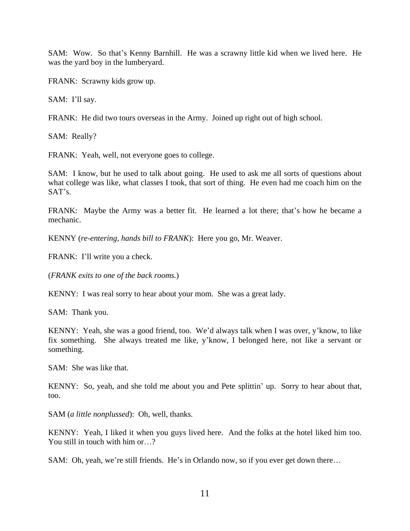SAM: Wow. So that's Kenny Barnhill. He was a scrawny little kid when we lived here. He was the yard boy in the lumberyard.

FRANK: Scrawny kids grow up.

SAM: I'll say.

FRANK: He did two tours overseas in the Army. Joined up right out of high school.

SAM: Really?

FRANK: Yeah, well, not everyone goes to college.

SAM: I know, but he used to talk about going. He used to ask me all sorts of questions about what college was like, what classes I took, that sort of thing. He even had me coach him on the SAT's.

FRANK: Maybe the Army was a better fit. He learned a lot there; that's how he became a mechanic.

KENNY (*re-entering, hands bill to FRANK*): Here you go, Mr. Weaver.

FRANK: I'll write you a check.

(*FRANK exits to one of the back rooms.*)

KENNY: I was real sorry to hear about your mom. She was a great lady.

SAM: Thank you.

KENNY: Yeah, she was a good friend, too. We'd always talk when I was over, y'know, to like fix something. She always treated me like, y'know, I belonged here, not like a servant or something.

SAM: She was like that.

KENNY: So, yeah, and she told me about you and Pete splittin' up. Sorry to hear about that, too.

SAM (*a little nonplussed*): Oh, well, thanks.

KENNY: Yeah, I liked it when you guys lived here. And the folks at the hotel liked him too. You still in touch with him or...?

SAM: Oh, yeah, we're still friends. He's in Orlando now, so if you ever get down there…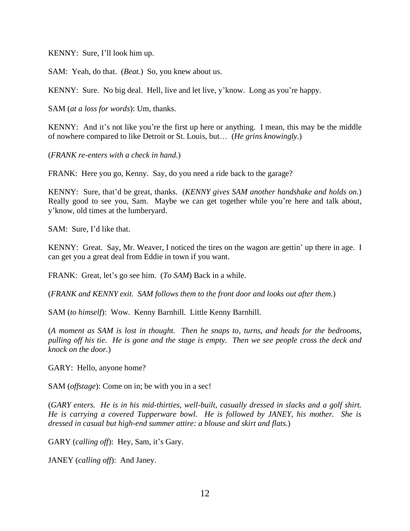KENNY: Sure, I'll look him up.

SAM: Yeah, do that. (*Beat.*) So, you knew about us.

KENNY: Sure. No big deal. Hell, live and let live, y'know. Long as you're happy.

SAM (*at a loss for words*): Um, thanks.

KENNY: And it's not like you're the first up here or anything. I mean, this may be the middle of nowhere compared to like Detroit or St. Louis, but… (*He grins knowingly.*)

(*FRANK re-enters with a check in hand.*)

FRANK: Here you go, Kenny. Say, do you need a ride back to the garage?

KENNY: Sure, that'd be great, thanks. (*KENNY gives SAM another handshake and holds on.*) Really good to see you, Sam. Maybe we can get together while you're here and talk about, y'know, old times at the lumberyard.

SAM: Sure, I'd like that.

KENNY: Great. Say, Mr. Weaver, I noticed the tires on the wagon are gettin' up there in age. I can get you a great deal from Eddie in town if you want.

FRANK: Great, let's go see him. (*To SAM*) Back in a while.

(*FRANK and KENNY exit. SAM follows them to the front door and looks out after them.*)

SAM (*to himself*): Wow. Kenny Barnhill. Little Kenny Barnhill.

(*A moment as SAM is lost in thought. Then he snaps to, turns, and heads for the bedrooms, pulling off his tie. He is gone and the stage is empty. Then we see people cross the deck and knock on the door.*)

GARY: Hello, anyone home?

SAM (*offstage*): Come on in; be with you in a sec!

(*GARY enters. He is in his mid-thirties, well-built, casually dressed in slacks and a golf shirt. He is carrying a covered Tupperware bowl. He is followed by JANEY, his mother. She is dressed in casual but high-end summer attire: a blouse and skirt and flats.*)

GARY (*calling off*): Hey, Sam, it's Gary.

JANEY (*calling off*): And Janey.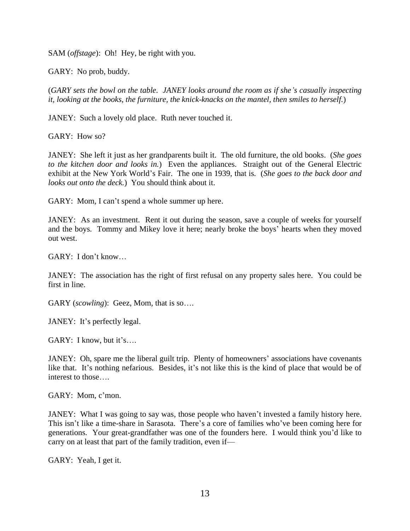SAM (*offstage*): Oh! Hey, be right with you.

GARY: No prob, buddy.

(*GARY sets the bowl on the table. JANEY looks around the room as if she's casually inspecting it, looking at the books, the furniture, the knick-knacks on the mantel, then smiles to herself.*)

JANEY: Such a lovely old place. Ruth never touched it.

GARY: How so?

JANEY: She left it just as her grandparents built it. The old furniture, the old books. (*She goes to the kitchen door and looks in.*) Even the appliances. Straight out of the General Electric exhibit at the New York World's Fair. The one in 1939, that is. (*She goes to the back door and looks out onto the deck.*) You should think about it.

GARY: Mom, I can't spend a whole summer up here.

JANEY: As an investment. Rent it out during the season, save a couple of weeks for yourself and the boys. Tommy and Mikey love it here; nearly broke the boys' hearts when they moved out west.

GARY: I don't know…

JANEY: The association has the right of first refusal on any property sales here. You could be first in line.

GARY (*scowling*): Geez, Mom, that is so….

JANEY: It's perfectly legal.

GARY: I know, but it's....

JANEY: Oh, spare me the liberal guilt trip. Plenty of homeowners' associations have covenants like that. It's nothing nefarious. Besides, it's not like this is the kind of place that would be of interest to those….

GARY: Mom, c'mon.

JANEY: What I was going to say was, those people who haven't invested a family history here. This isn't like a time-share in Sarasota. There's a core of families who've been coming here for generations. Your great-grandfather was one of the founders here. I would think you'd like to carry on at least that part of the family tradition, even if—

GARY: Yeah, I get it.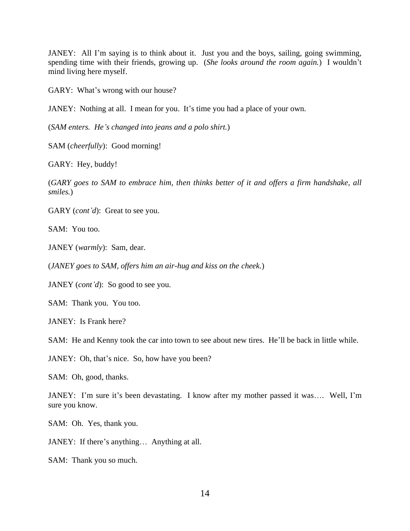JANEY: All I'm saying is to think about it. Just you and the boys, sailing, going swimming, spending time with their friends, growing up. (*She looks around the room again.*) I wouldn't mind living here myself.

GARY: What's wrong with our house?

JANEY: Nothing at all. I mean for you. It's time you had a place of your own.

(*SAM enters. He's changed into jeans and a polo shirt.*)

SAM (*cheerfully*): Good morning!

GARY: Hey, buddy!

(*GARY goes to SAM to embrace him, then thinks better of it and offers a firm handshake, all smiles.*)

GARY (*cont'd*): Great to see you.

SAM: You too.

JANEY (*warmly*): Sam, dear.

(*JANEY goes to SAM, offers him an air-hug and kiss on the cheek.*)

JANEY (*cont'd*): So good to see you.

SAM: Thank you. You too.

JANEY: Is Frank here?

SAM: He and Kenny took the car into town to see about new tires. He'll be back in little while.

JANEY: Oh, that's nice. So, how have you been?

SAM: Oh, good, thanks.

JANEY: I'm sure it's been devastating. I know after my mother passed it was…. Well, I'm sure you know.

SAM: Oh. Yes, thank you.

JANEY: If there's anything… Anything at all.

SAM: Thank you so much.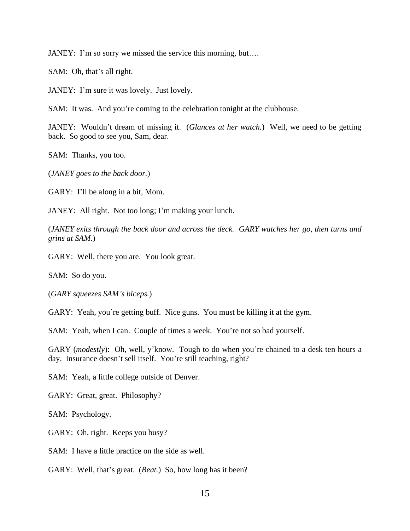JANEY: I'm so sorry we missed the service this morning, but….

SAM: Oh, that's all right.

JANEY: I'm sure it was lovely. Just lovely.

SAM: It was. And you're coming to the celebration tonight at the clubhouse.

JANEY: Wouldn't dream of missing it. (*Glances at her watch.*) Well, we need to be getting back. So good to see you, Sam, dear.

SAM: Thanks, you too.

(*JANEY goes to the back door.*)

GARY: I'll be along in a bit, Mom.

JANEY: All right. Not too long; I'm making your lunch.

(*JANEY exits through the back door and across the deck. GARY watches her go, then turns and grins at SAM.*)

GARY: Well, there you are. You look great.

SAM: So do you.

(*GARY squeezes SAM's biceps.*)

GARY: Yeah, you're getting buff. Nice guns. You must be killing it at the gym.

SAM: Yeah, when I can. Couple of times a week. You're not so bad yourself.

GARY (*modestly*): Oh, well, y'know. Tough to do when you're chained to a desk ten hours a day. Insurance doesn't sell itself. You're still teaching, right?

SAM: Yeah, a little college outside of Denver.

GARY: Great, great. Philosophy?

SAM: Psychology.

GARY: Oh, right. Keeps you busy?

SAM: I have a little practice on the side as well.

GARY: Well, that's great. (*Beat.*) So, how long has it been?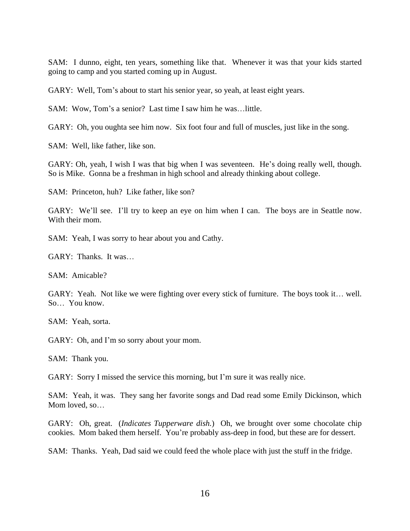SAM: I dunno, eight, ten years, something like that. Whenever it was that your kids started going to camp and you started coming up in August.

GARY: Well, Tom's about to start his senior year, so yeah, at least eight years.

SAM: Wow, Tom's a senior? Last time I saw him he was…little.

GARY: Oh, you oughta see him now. Six foot four and full of muscles, just like in the song.

SAM: Well, like father, like son.

GARY: Oh, yeah, I wish I was that big when I was seventeen. He's doing really well, though. So is Mike. Gonna be a freshman in high school and already thinking about college.

SAM: Princeton, huh? Like father, like son?

GARY: We'll see. I'll try to keep an eye on him when I can. The boys are in Seattle now. With their mom.

SAM: Yeah, I was sorry to hear about you and Cathy.

GARY: Thanks. It was…

SAM: Amicable?

GARY: Yeah. Not like we were fighting over every stick of furniture. The boys took it… well. So… You know.

SAM: Yeah, sorta.

GARY: Oh, and I'm so sorry about your mom.

SAM: Thank you.

GARY: Sorry I missed the service this morning, but I'm sure it was really nice.

SAM: Yeah, it was. They sang her favorite songs and Dad read some Emily Dickinson, which Mom loved, so…

GARY: Oh, great. (*Indicates Tupperware dish.*) Oh, we brought over some chocolate chip cookies. Mom baked them herself. You're probably ass-deep in food, but these are for dessert.

SAM: Thanks. Yeah, Dad said we could feed the whole place with just the stuff in the fridge.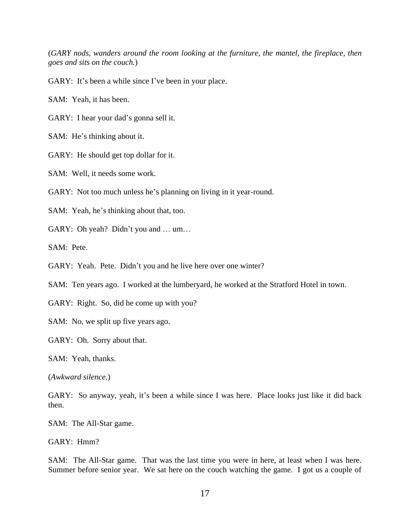(*GARY nods, wanders around the room looking at the furniture, the mantel, the fireplace, then goes and sits on the couch.*)

GARY: It's been a while since I've been in your place.

SAM: Yeah, it has been.

GARY: I hear your dad's gonna sell it.

SAM: He's thinking about it.

GARY: He should get top dollar for it.

SAM: Well, it needs some work.

GARY: Not too much unless he's planning on living in it year-round.

SAM: Yeah, he's thinking about that, too.

GARY: Oh yeah? Didn't you and … um…

SAM: Pete.

GARY: Yeah. Pete. Didn't you and he live here over one winter?

SAM: Ten years ago. I worked at the lumberyard, he worked at the Stratford Hotel in town.

GARY: Right. So, did he come up with you?

SAM: No, we split up five years ago.

GARY: Oh. Sorry about that.

SAM: Yeah, thanks.

(*Awkward silence.*)

GARY: So anyway, yeah, it's been a while since I was here. Place looks just like it did back then.

SAM: The All-Star game.

GARY: Hmm?

SAM: The All-Star game. That was the last time you were in here, at least when I was here. Summer before senior year. We sat here on the couch watching the game. I got us a couple of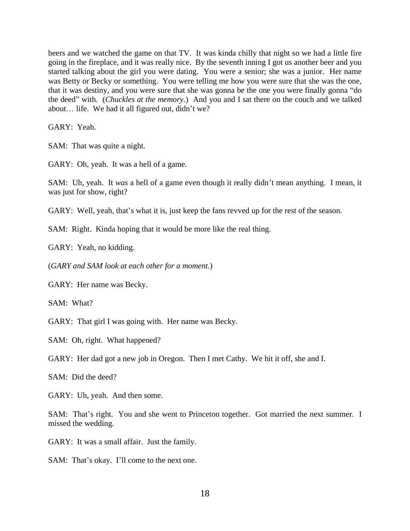beers and we watched the game on that TV. It was kinda chilly that night so we had a little fire going in the fireplace, and it was really nice. By the seventh inning I got us another beer and you started talking about the girl you were dating. You were a senior; she was a junior. Her name was Betty or Becky or something. You were telling me how you were sure that she was the one, that it was destiny, and you were sure that she was gonna be the one you were finally gonna "do the deed" with. (*Chuckles at the memory.*) And you and I sat there on the couch and we talked about… life. We had it all figured out, didn't we?

GARY: Yeah.

SAM: That was quite a night.

GARY: Oh, yeah. It was a hell of a game.

SAM: Uh, yeah. It *was* a hell of a game even though it really didn't mean anything. I mean, it was just for show, right?

GARY: Well, yeah, that's what it is, just keep the fans revved up for the rest of the season.

SAM: Right. Kinda hoping that it would be more like the real thing.

GARY: Yeah, no kidding.

(*GARY and SAM look at each other for a moment.*)

GARY: Her name was Becky.

SAM: What?

GARY: That girl I was going with. Her name was Becky.

SAM: Oh, right. What happened?

GARY: Her dad got a new job in Oregon. Then I met Cathy. We hit it off, she and I.

SAM: Did the deed?

GARY: Uh, yeah. And then some.

SAM: That's right. You and she went to Princeton together. Got married the next summer. I missed the wedding.

GARY: It was a small affair. Just the family.

SAM: That's okay. I'll come to the next one.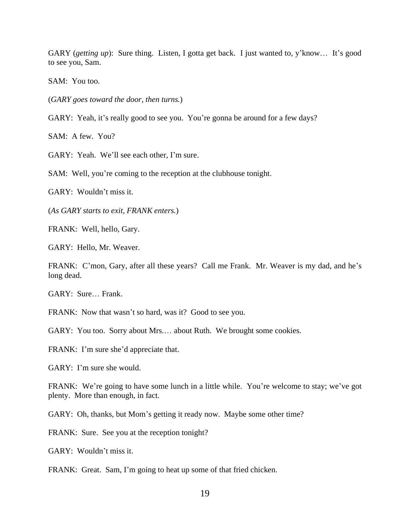GARY (*getting up*): Sure thing. Listen, I gotta get back. I just wanted to, y'know… It's good to see you, Sam.

SAM: You too.

(*GARY goes toward the door, then turns.*)

GARY: Yeah, it's really good to see you. You're gonna be around for a few days?

SAM: A few. You?

GARY: Yeah. We'll see each other, I'm sure.

SAM: Well, you're coming to the reception at the clubhouse tonight.

GARY: Wouldn't miss it.

(*As GARY starts to exit, FRANK enters.*)

FRANK: Well, hello, Gary.

GARY: Hello, Mr. Weaver.

FRANK: C'mon, Gary, after all these years? Call me Frank. Mr. Weaver is my dad, and he's long dead.

GARY: Sure… Frank.

FRANK: Now that wasn't so hard, was it? Good to see you.

GARY: You too. Sorry about Mrs.… about Ruth. We brought some cookies.

FRANK: I'm sure she'd appreciate that.

GARY: I'm sure she would.

FRANK: We're going to have some lunch in a little while. You're welcome to stay; we've got plenty. More than enough, in fact.

GARY: Oh, thanks, but Mom's getting it ready now. Maybe some other time?

FRANK: Sure. See you at the reception tonight?

GARY: Wouldn't miss it.

FRANK: Great. Sam, I'm going to heat up some of that fried chicken.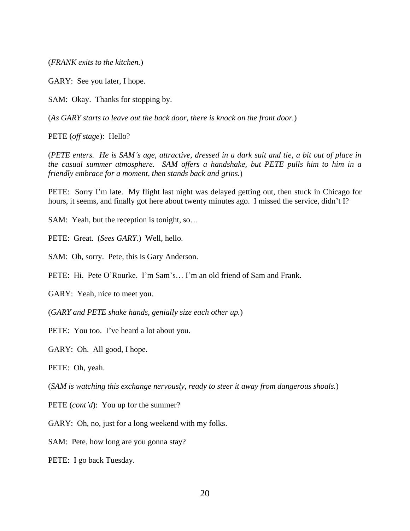(*FRANK exits to the kitchen.*)

GARY: See you later, I hope.

SAM: Okay. Thanks for stopping by.

(*As GARY starts to leave out the back door, there is knock on the front door.*)

PETE (*off stage*): Hello?

(*PETE enters. He is SAM's age, attractive, dressed in a dark suit and tie, a bit out of place in the casual summer atmosphere. SAM offers a handshake, but PETE pulls him to him in a friendly embrace for a moment, then stands back and grins.*)

PETE: Sorry I'm late. My flight last night was delayed getting out, then stuck in Chicago for hours, it seems, and finally got here about twenty minutes ago. I missed the service, didn't I?

SAM: Yeah, but the reception is tonight, so…

PETE: Great. (*Sees GARY.*) Well, hello.

SAM: Oh, sorry. Pete, this is Gary Anderson.

PETE: Hi. Pete O'Rourke. I'm Sam's… I'm an old friend of Sam and Frank.

GARY: Yeah, nice to meet you.

(*GARY and PETE shake hands, genially size each other up.*)

PETE: You too. I've heard a lot about you.

GARY: Oh. All good, I hope.

PETE: Oh, yeah.

(*SAM is watching this exchange nervously, ready to steer it away from dangerous shoals.*)

PETE (*cont'd*): You up for the summer?

GARY: Oh, no, just for a long weekend with my folks.

SAM: Pete, how long are you gonna stay?

PETE: I go back Tuesday.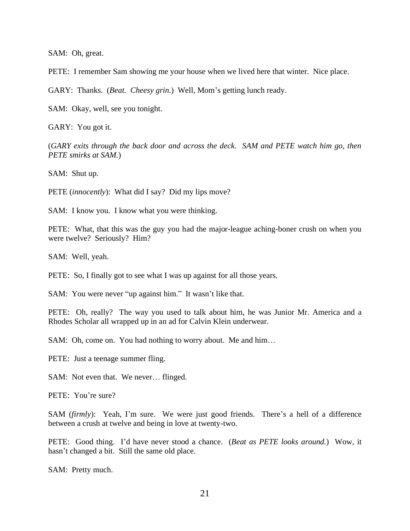SAM: Oh, great.

PETE: I remember Sam showing me your house when we lived here that winter. Nice place.

GARY: Thanks. (*Beat. Cheesy grin.*) Well, Mom's getting lunch ready.

SAM: Okay, well, see you tonight.

GARY: You got it.

(*GARY exits through the back door and across the deck. SAM and PETE watch him go, then PETE smirks at SAM.*)

SAM: Shut up.

PETE *(innocently)*: What did I say? Did my lips move?

SAM: I know you. I know what you were thinking.

PETE: What, that this was the guy you had the major-league aching-boner crush on when you were twelve? Seriously? Him?

SAM: Well, yeah.

PETE: So, I finally got to see what I was up against for all those years.

SAM: You were never "up against him." It wasn't like that.

PETE: Oh, really? The way you used to talk about him, he was Junior Mr. America and a Rhodes Scholar all wrapped up in an ad for Calvin Klein underwear.

SAM: Oh, come on. You had nothing to worry about. Me and him…

PETE: Just a teenage summer fling.

SAM: Not even that. We never... flinged.

PETE: You're sure?

SAM (*firmly*): Yeah, I'm sure. We were just good friends. There's a hell of a difference between a crush at twelve and being in love at twenty-two.

PETE: Good thing. I'd have never stood a chance. (*Beat as PETE looks around.*) Wow, it hasn't changed a bit. Still the same old place.

SAM: Pretty much.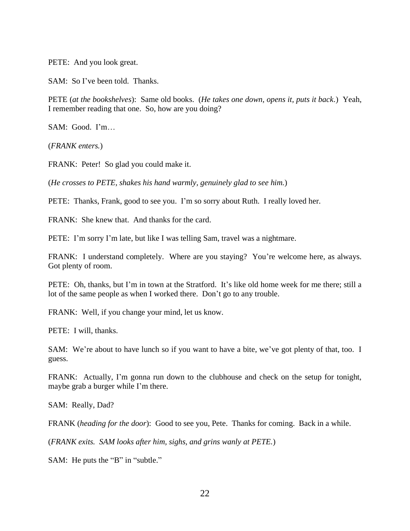PETE: And you look great.

SAM: So I've been told. Thanks.

PETE (*at the bookshelves*): Same old books. (*He takes one down, opens it, puts it back.*) Yeah, I remember reading that one. So, how are you doing?

SAM: Good. I'm…

(*FRANK enters.*)

FRANK: Peter! So glad you could make it.

(*He crosses to PETE, shakes his hand warmly, genuinely glad to see him.*)

PETE: Thanks, Frank, good to see you. I'm so sorry about Ruth. I really loved her.

FRANK: She knew that. And thanks for the card.

PETE: I'm sorry I'm late, but like I was telling Sam, travel was a nightmare.

FRANK: I understand completely. Where are you staying? You're welcome here, as always. Got plenty of room.

PETE: Oh, thanks, but I'm in town at the Stratford. It's like old home week for me there; still a lot of the same people as when I worked there. Don't go to any trouble.

FRANK: Well, if you change your mind, let us know.

PETE: I will, thanks.

SAM: We're about to have lunch so if you want to have a bite, we've got plenty of that, too. I guess.

FRANK: Actually, I'm gonna run down to the clubhouse and check on the setup for tonight, maybe grab a burger while I'm there.

SAM: Really, Dad?

FRANK (*heading for the door*): Good to see you, Pete. Thanks for coming. Back in a while.

(*FRANK exits. SAM looks after him, sighs, and grins wanly at PETE.*)

SAM: He puts the "B" in "subtle."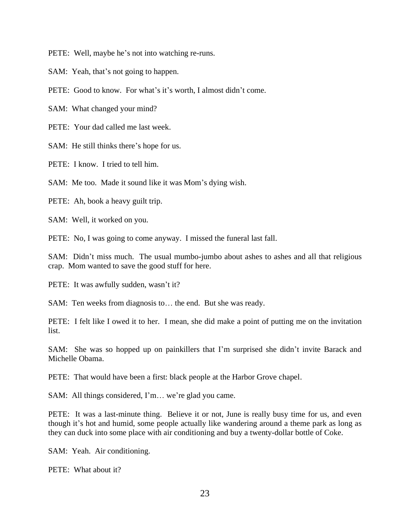PETE: Well, maybe he's not into watching re-runs.

SAM: Yeah, that's not going to happen.

PETE: Good to know. For what's it's worth, I almost didn't come.

SAM: What changed your mind?

PETE: Your dad called me last week.

SAM: He still thinks there's hope for us.

PETE: I know. I tried to tell him.

SAM: Me too. Made it sound like it was Mom's dying wish.

PETE: Ah, book a heavy guilt trip.

SAM: Well, it worked on you.

PETE: No, I was going to come anyway. I missed the funeral last fall.

SAM: Didn't miss much. The usual mumbo-jumbo about ashes to ashes and all that religious crap. Mom wanted to save the good stuff for here.

PETE: It was awfully sudden, wasn't it?

SAM: Ten weeks from diagnosis to… the end. But she was ready.

PETE: I felt like I owed it to her. I mean, she did make a point of putting me on the invitation list.

SAM: She was so hopped up on painkillers that I'm surprised she didn't invite Barack and Michelle Obama.

PETE: That would have been a first: black people at the Harbor Grove chapel.

SAM: All things considered, I'm… we're glad you came.

PETE: It was a last-minute thing. Believe it or not, June is really busy time for us, and even though it's hot and humid, some people actually like wandering around a theme park as long as they can duck into some place with air conditioning and buy a twenty-dollar bottle of Coke.

SAM: Yeah. Air conditioning.

PETE: What about it?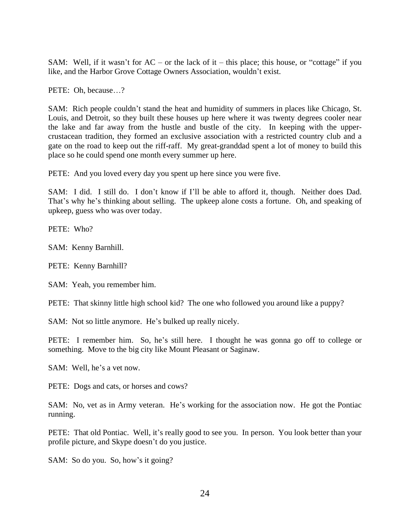SAM: Well, if it wasn't for  $AC - or$  the lack of it – this place; this house, or "cottage" if you like, and the Harbor Grove Cottage Owners Association, wouldn't exist.

PETE: Oh, because…?

SAM: Rich people couldn't stand the heat and humidity of summers in places like Chicago, St. Louis, and Detroit, so they built these houses up here where it was twenty degrees cooler near the lake and far away from the hustle and bustle of the city. In keeping with the uppercrustacean tradition, they formed an exclusive association with a restricted country club and a gate on the road to keep out the riff-raff. My great-granddad spent a lot of money to build this place so he could spend one month every summer up here.

PETE: And you loved every day you spent up here since you were five.

SAM: I did. I still do. I don't know if I'll be able to afford it, though. Neither does Dad. That's why he's thinking about selling. The upkeep alone costs a fortune. Oh, and speaking of upkeep, guess who was over today.

PETE: Who?

SAM: Kenny Barnhill.

PETE: Kenny Barnhill?

SAM: Yeah, you remember him.

PETE: That skinny little high school kid? The one who followed you around like a puppy?

SAM: Not so little anymore. He's bulked up really nicely.

PETE: I remember him. So, he's still here. I thought he was gonna go off to college or something. Move to the big city like Mount Pleasant or Saginaw.

SAM: Well, he's a vet now.

PETE: Dogs and cats, or horses and cows?

SAM: No, vet as in Army veteran. He's working for the association now. He got the Pontiac running.

PETE: That old Pontiac. Well, it's really good to see you. In person. You look better than your profile picture, and Skype doesn't do you justice.

SAM: So do you. So, how's it going?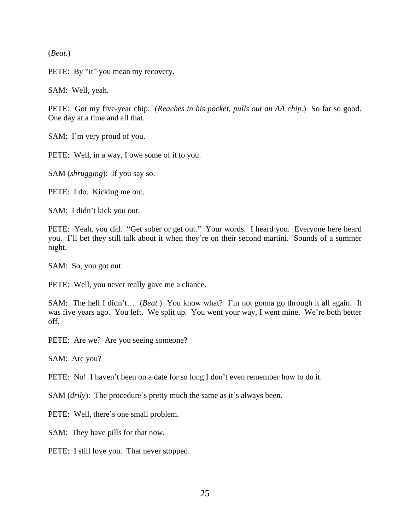(*Beat.*)

PETE: By "it" you mean my recovery.

SAM: Well, yeah.

PETE: Got my five-year chip. (*Reaches in his pocket, pulls out an AA chip.*) So far so good. One day at a time and all that.

SAM: I'm very proud of you.

PETE: Well, in a way, I owe some of it to you.

SAM (*shrugging*): If you say so.

PETE: I do. Kicking me out.

SAM: I didn't kick you out.

PETE: Yeah, you did. "Get sober or get out." Your words. I heard you. Everyone here heard you. I'll bet they still talk about it when they're on their second martini. Sounds of a summer night.

SAM: So, you got out.

PETE: Well, you never really gave me a chance.

SAM: The hell I didn't… (*Beat.*) You know what? I'm not gonna go through it all again. It was five years ago. You left. We split up. You went your way, I went mine. We're both better off.

PETE: Are we? Are you seeing someone?

SAM: Are you?

PETE: No! I haven't been on a date for so long I don't even remember how to do it.

SAM (*drily*): The procedure's pretty much the same as it's always been.

PETE: Well, there's one small problem.

SAM: They have pills for that now.

PETE: I still love you. That never stopped.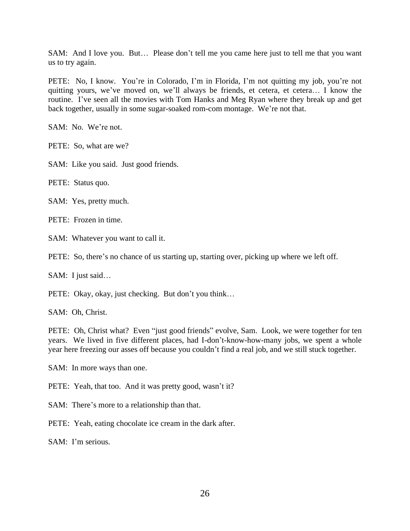SAM: And I love you. But… Please don't tell me you came here just to tell me that you want us to try again.

PETE: No, I know. You're in Colorado, I'm in Florida, I'm not quitting my job, you're not quitting yours, we've moved on, we'll always be friends, et cetera, et cetera… I know the routine. I've seen all the movies with Tom Hanks and Meg Ryan where they break up and get back together, usually in some sugar-soaked rom-com montage. We're not that.

SAM: No. We're not.

PETE: So, what are we?

SAM: Like you said. Just good friends.

PETE: Status quo.

SAM: Yes, pretty much.

PETE: Frozen in time.

SAM: Whatever you want to call it.

PETE: So, there's no chance of us starting up, starting over, picking up where we left off.

SAM: I just said…

PETE: Okay, okay, just checking. But don't you think…

SAM: Oh, Christ.

PETE: Oh, Christ what? Even "just good friends" evolve, Sam. Look, we were together for ten years. We lived in five different places, had I-don't-know-how-many jobs, we spent a whole year here freezing our asses off because you couldn't find a real job, and we still stuck together.

SAM: In more ways than one.

PETE: Yeah, that too. And it was pretty good, wasn't it?

SAM: There's more to a relationship than that.

PETE: Yeah, eating chocolate ice cream in the dark after.

SAM: I'm serious.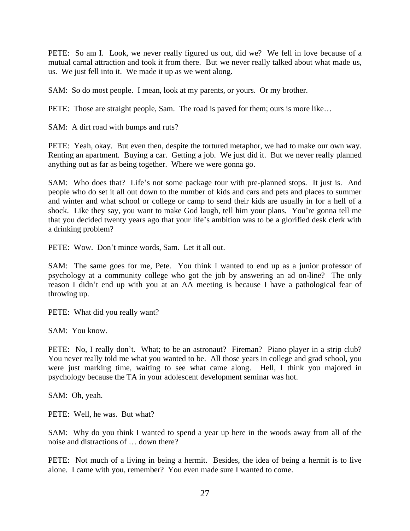PETE: So am I. Look, we never really figured us out, did we? We fell in love because of a mutual carnal attraction and took it from there. But we never really talked about what made us, us. We just fell into it. We made it up as we went along.

SAM: So do most people. I mean, look at my parents, or yours. Or my brother.

PETE: Those are straight people, Sam. The road is paved for them; ours is more like…

SAM: A dirt road with bumps and ruts?

PETE: Yeah, okay. But even then, despite the tortured metaphor, we had to make our own way. Renting an apartment. Buying a car. Getting a job. We just did it. But we never really planned anything out as far as being together. Where we were gonna go.

SAM: Who does that? Life's not some package tour with pre-planned stops. It just is. And people who do set it all out down to the number of kids and cars and pets and places to summer and winter and what school or college or camp to send their kids are usually in for a hell of a shock. Like they say, you want to make God laugh, tell him your plans. You're gonna tell me that you decided twenty years ago that your life's ambition was to be a glorified desk clerk with a drinking problem?

PETE: Wow. Don't mince words, Sam. Let it all out.

SAM: The same goes for me, Pete. You think I wanted to end up as a junior professor of psychology at a community college who got the job by answering an ad on-line? The only reason I didn't end up with you at an AA meeting is because I have a pathological fear of throwing up.

PETE: What did you really want?

SAM: You know.

PETE: No, I really don't. What; to be an astronaut? Fireman? Piano player in a strip club? You never really told me what you wanted to be. All those years in college and grad school, you were just marking time, waiting to see what came along. Hell, I think you majored in psychology because the TA in your adolescent development seminar was hot.

SAM: Oh, yeah.

PETE: Well, he was. But what?

SAM: Why do you think I wanted to spend a year up here in the woods away from all of the noise and distractions of … down there?

PETE: Not much of a living in being a hermit. Besides, the idea of being a hermit is to live alone. I came with you, remember? You even made sure I wanted to come.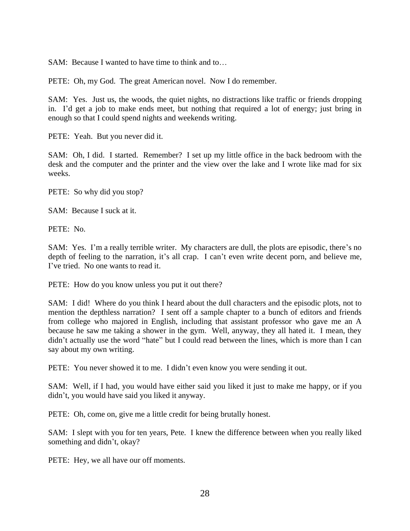SAM: Because I wanted to have time to think and to…

PETE: Oh, my God. The great American novel. Now I do remember.

SAM: Yes. Just us, the woods, the quiet nights, no distractions like traffic or friends dropping in. I'd get a job to make ends meet, but nothing that required a lot of energy; just bring in enough so that I could spend nights and weekends writing.

PETE: Yeah. But you never did it.

SAM: Oh, I did. I started. Remember? I set up my little office in the back bedroom with the desk and the computer and the printer and the view over the lake and I wrote like mad for six weeks.

PETE: So why did you stop?

SAM: Because I suck at it.

PETE: No.

SAM: Yes. I'm a really terrible writer. My characters are dull, the plots are episodic, there's no depth of feeling to the narration, it's all crap. I can't even write decent porn, and believe me, I've tried. No one wants to read it.

PETE: How do you know unless you put it out there?

SAM: I did! Where do you think I heard about the dull characters and the episodic plots, not to mention the depthless narration? I sent off a sample chapter to a bunch of editors and friends from college who majored in English, including that assistant professor who gave me an A because he saw me taking a shower in the gym. Well, anyway, they all hated it. I mean, they didn't actually use the word "hate" but I could read between the lines, which is more than I can say about my own writing.

PETE: You never showed it to me. I didn't even know you were sending it out.

SAM: Well, if I had, you would have either said you liked it just to make me happy, or if you didn't, you would have said you liked it anyway.

PETE: Oh, come on, give me a little credit for being brutally honest.

SAM: I slept with you for ten years, Pete. I knew the difference between when you really liked something and didn't, okay?

PETE: Hey, we all have our off moments.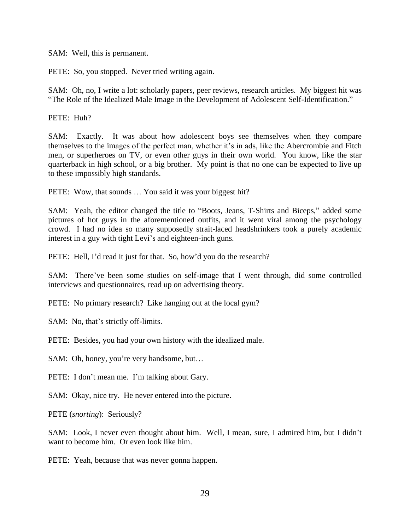SAM: Well, this is permanent.

PETE: So, you stopped. Never tried writing again.

SAM: Oh, no, I write a lot: scholarly papers, peer reviews, research articles. My biggest hit was "The Role of the Idealized Male Image in the Development of Adolescent Self-Identification."

PETE: Huh?

SAM: Exactly. It was about how adolescent boys see themselves when they compare themselves to the images of the perfect man, whether it's in ads, like the Abercrombie and Fitch men, or superheroes on TV, or even other guys in their own world. You know, like the star quarterback in high school, or a big brother. My point is that no one can be expected to live up to these impossibly high standards.

PETE: Wow, that sounds … You said it was your biggest hit?

SAM: Yeah, the editor changed the title to "Boots, Jeans, T-Shirts and Biceps," added some pictures of hot guys in the aforementioned outfits, and it went viral among the psychology crowd. I had no idea so many supposedly strait-laced headshrinkers took a purely academic interest in a guy with tight Levi's and eighteen-inch guns.

PETE: Hell, I'd read it just for that. So, how'd you do the research?

SAM: There've been some studies on self-image that I went through, did some controlled interviews and questionnaires, read up on advertising theory.

PETE: No primary research? Like hanging out at the local gym?

SAM: No, that's strictly off-limits.

PETE: Besides, you had your own history with the idealized male.

SAM: Oh, honey, you're very handsome, but...

PETE: I don't mean me. I'm talking about Gary.

SAM: Okay, nice try. He never entered into the picture.

PETE (*snorting*): Seriously?

SAM: Look, I never even thought about him. Well, I mean, sure, I admired him, but I didn't want to become him. Or even look like him.

PETE: Yeah, because that was never gonna happen.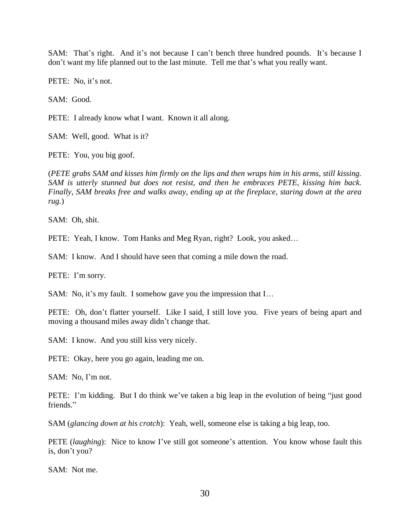SAM: That's right. And it's not because I can't bench three hundred pounds. It's because I don't want my life planned out to the last minute. Tell me that's what you really want.

PETE: No, it's not.

SAM: Good.

PETE: I already know what I want. Known it all along.

SAM: Well, good. What is it?

PETE: You, you big goof.

(*PETE grabs SAM and kisses him firmly on the lips and then wraps him in his arms, still kissing. SAM is utterly stunned but does not resist, and then he embraces PETE, kissing him back. Finally, SAM breaks free and walks away, ending up at the fireplace, staring down at the area rug.*)

SAM: Oh, shit.

PETE: Yeah, I know. Tom Hanks and Meg Ryan, right? Look, you asked...

SAM: I know. And I should have seen that coming a mile down the road.

PETE: I'm sorry.

SAM: No, it's my fault. I somehow gave you the impression that I…

PETE: Oh, don't flatter yourself. Like I said, I still love you. Five years of being apart and moving a thousand miles away didn't change that.

SAM: I know. And you still kiss very nicely.

PETE: Okay, here you go again, leading me on.

SAM: No, I'm not.

PETE: I'm kidding. But I do think we've taken a big leap in the evolution of being "just good friends."

SAM (*glancing down at his crotch*): Yeah, well, someone else is taking a big leap, too.

PETE (*laughing*): Nice to know I've still got someone's attention. You know whose fault this is, don't you?

SAM: Not me.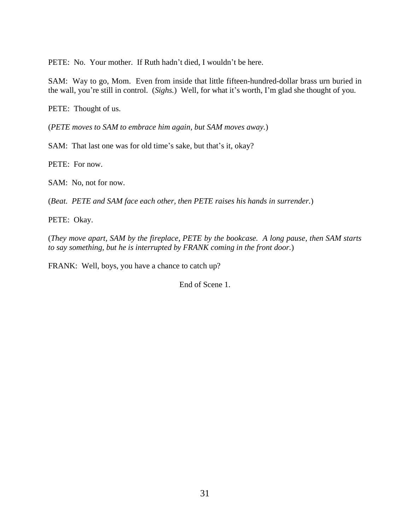PETE: No. Your mother. If Ruth hadn't died, I wouldn't be here.

SAM: Way to go, Mom. Even from inside that little fifteen-hundred-dollar brass urn buried in the wall, you're still in control. (*Sighs.*) Well, for what it's worth, I'm glad she thought of you.

PETE: Thought of us.

(*PETE moves to SAM to embrace him again, but SAM moves away.*)

SAM: That last one was for old time's sake, but that's it, okay?

PETE: For now.

SAM: No, not for now.

(*Beat. PETE and SAM face each other, then PETE raises his hands in surrender.*)

PETE: Okay.

(*They move apart, SAM by the fireplace, PETE by the bookcase. A long pause, then SAM starts to say something, but he is interrupted by FRANK coming in the front door.*)

FRANK: Well, boys, you have a chance to catch up?

End of Scene 1.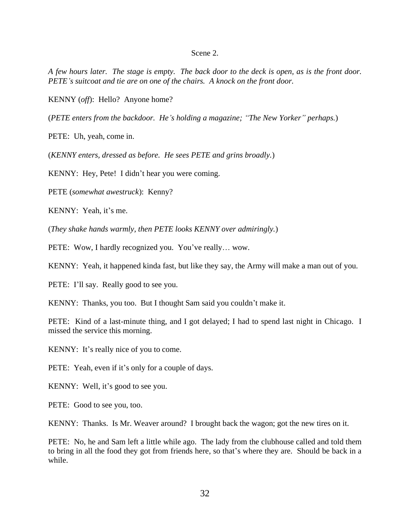#### Scene 2.

*A few hours later. The stage is empty. The back door to the deck is open, as is the front door. PETE's suitcoat and tie are on one of the chairs. A knock on the front door.*

KENNY (*off*): Hello? Anyone home?

(*PETE enters from the backdoor. He's holding a magazine; "The New Yorker" perhaps.*)

PETE: Uh, yeah, come in.

(*KENNY enters, dressed as before. He sees PETE and grins broadly.*)

KENNY: Hey, Pete! I didn't hear you were coming.

PETE (*somewhat awestruck*): Kenny?

KENNY: Yeah, it's me.

(*They shake hands warmly, then PETE looks KENNY over admiringly.*)

PETE: Wow, I hardly recognized you. You've really... wow.

KENNY: Yeah, it happened kinda fast, but like they say, the Army will make a man out of you.

PETE: I'll say. Really good to see you.

KENNY: Thanks, you too. But I thought Sam said you couldn't make it.

PETE: Kind of a last-minute thing, and I got delayed; I had to spend last night in Chicago. I missed the service this morning.

KENNY: It's really nice of you to come.

PETE: Yeah, even if it's only for a couple of days.

KENNY: Well, it's good to see you.

PETE: Good to see you, too.

KENNY: Thanks. Is Mr. Weaver around? I brought back the wagon; got the new tires on it.

PETE: No, he and Sam left a little while ago. The lady from the clubhouse called and told them to bring in all the food they got from friends here, so that's where they are. Should be back in a while.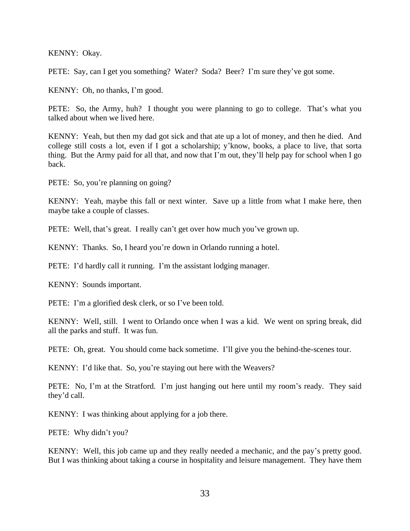KENNY: Okay.

PETE: Say, can I get you something? Water? Soda? Beer? I'm sure they've got some.

KENNY: Oh, no thanks, I'm good.

PETE: So, the Army, huh? I thought you were planning to go to college. That's what you talked about when we lived here.

KENNY: Yeah, but then my dad got sick and that ate up a lot of money, and then he died. And college still costs a lot, even if I got a scholarship; y'know, books, a place to live, that sorta thing. But the Army paid for all that, and now that I'm out, they'll help pay for school when I go back.

PETE: So, you're planning on going?

KENNY: Yeah, maybe this fall or next winter. Save up a little from what I make here, then maybe take a couple of classes.

PETE: Well, that's great. I really can't get over how much you've grown up.

KENNY: Thanks. So, I heard you're down in Orlando running a hotel.

PETE: I'd hardly call it running. I'm the assistant lodging manager.

KENNY: Sounds important.

PETE: I'm a glorified desk clerk, or so I've been told.

KENNY: Well, still. I went to Orlando once when I was a kid. We went on spring break, did all the parks and stuff. It was fun.

PETE: Oh, great. You should come back sometime. I'll give you the behind-the-scenes tour.

KENNY: I'd like that. So, you're staying out here with the Weavers?

PETE: No, I'm at the Stratford. I'm just hanging out here until my room's ready. They said they'd call.

KENNY: I was thinking about applying for a job there.

PETE: Why didn't you?

KENNY: Well, this job came up and they really needed a mechanic, and the pay's pretty good. But I was thinking about taking a course in hospitality and leisure management. They have them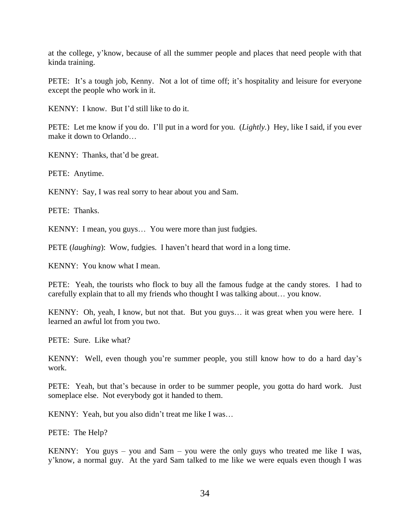at the college, y'know, because of all the summer people and places that need people with that kinda training.

PETE: It's a tough job, Kenny. Not a lot of time off; it's hospitality and leisure for everyone except the people who work in it.

KENNY: I know. But I'd still like to do it.

PETE: Let me know if you do. I'll put in a word for you. (*Lightly.*) Hey, like I said, if you ever make it down to Orlando…

KENNY: Thanks, that'd be great.

PETE: Anytime.

KENNY: Say, I was real sorry to hear about you and Sam.

PETE: Thanks.

KENNY: I mean, you guys… You were more than just fudgies.

PETE *(laughing)*: Wow, fudgies. I haven't heard that word in a long time.

KENNY: You know what I mean.

PETE: Yeah, the tourists who flock to buy all the famous fudge at the candy stores. I had to carefully explain that to all my friends who thought I was talking about… you know.

KENNY: Oh, yeah, I know, but not that. But you guys… it was great when you were here. I learned an awful lot from you two.

PETE: Sure. Like what?

KENNY: Well, even though you're summer people, you still know how to do a hard day's work.

PETE: Yeah, but that's because in order to be summer people, you gotta do hard work. Just someplace else. Not everybody got it handed to them.

KENNY: Yeah, but you also didn't treat me like I was…

PETE: The Help?

KENNY: You guys – you and Sam – you were the only guys who treated me like I was, y'know, a normal guy. At the yard Sam talked to me like we were equals even though I was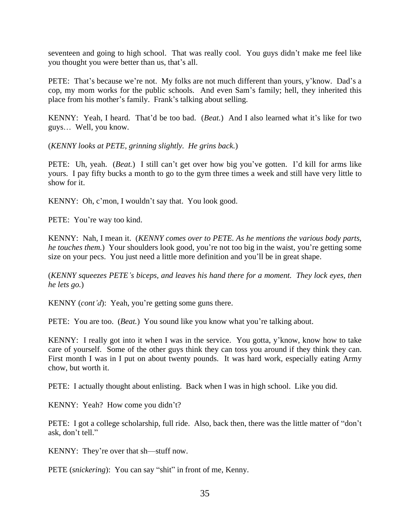seventeen and going to high school. That was really cool. You guys didn't make me feel like you thought you were better than us, that's all.

PETE: That's because we're not. My folks are not much different than yours, y'know. Dad's a cop, my mom works for the public schools. And even Sam's family; hell, they inherited this place from his mother's family. Frank's talking about selling.

KENNY: Yeah, I heard. That'd be too bad. (*Beat.*) And I also learned what it's like for two guys… Well, you know.

(*KENNY looks at PETE, grinning slightly. He grins back.*)

PETE: Uh, yeah. (*Beat.*) I still can't get over how big you've gotten. I'd kill for arms like yours. I pay fifty bucks a month to go to the gym three times a week and still have very little to show for it.

KENNY: Oh, c'mon, I wouldn't say that. You look good.

PETE: You're way too kind.

KENNY: Nah, I mean it. (*KENNY comes over to PETE. As he mentions the various body parts, he touches them.*) Your shoulders look good, you're not too big in the waist, you're getting some size on your pecs. You just need a little more definition and you'll be in great shape.

(*KENNY squeezes PETE's biceps, and leaves his hand there for a moment. They lock eyes, then he lets go.*)

KENNY (*cont'd*): Yeah, you're getting some guns there.

PETE: You are too. (*Beat.*) You sound like you know what you're talking about.

KENNY: I really got into it when I was in the service. You gotta, y'know, know how to take care of yourself. Some of the other guys think they can toss you around if they think they can. First month I was in I put on about twenty pounds. It was hard work, especially eating Army chow, but worth it.

PETE: I actually thought about enlisting. Back when I was in high school. Like you did.

KENNY: Yeah? How come you didn't?

PETE: I got a college scholarship, full ride. Also, back then, there was the little matter of "don't ask, don't tell."

KENNY: They're over that sh—stuff now.

PETE (*snickering*): You can say "shit" in front of me, Kenny.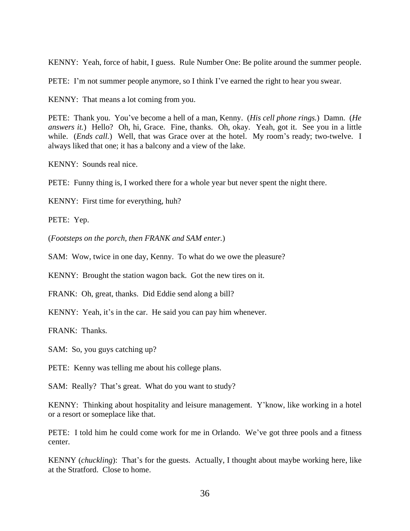KENNY: Yeah, force of habit, I guess. Rule Number One: Be polite around the summer people.

PETE: I'm not summer people anymore, so I think I've earned the right to hear you swear.

KENNY: That means a lot coming from you.

PETE: Thank you. You've become a hell of a man, Kenny. (*His cell phone rings.*) Damn. (*He answers it.*) Hello? Oh, hi, Grace. Fine, thanks. Oh, okay. Yeah, got it. See you in a little while. (*Ends call.*) Well, that was Grace over at the hotel. My room's ready; two-twelve. I always liked that one; it has a balcony and a view of the lake.

KENNY: Sounds real nice.

PETE: Funny thing is, I worked there for a whole year but never spent the night there.

KENNY: First time for everything, huh?

PETE: Yep.

(*Footsteps on the porch, then FRANK and SAM enter.*)

SAM: Wow, twice in one day, Kenny. To what do we owe the pleasure?

KENNY: Brought the station wagon back. Got the new tires on it.

FRANK: Oh, great, thanks. Did Eddie send along a bill?

KENNY: Yeah, it's in the car. He said you can pay him whenever.

FRANK: Thanks.

SAM: So, you guys catching up?

PETE: Kenny was telling me about his college plans.

SAM: Really? That's great. What do you want to study?

KENNY: Thinking about hospitality and leisure management. Y'know, like working in a hotel or a resort or someplace like that.

PETE: I told him he could come work for me in Orlando. We've got three pools and a fitness center.

KENNY (*chuckling*): That's for the guests. Actually, I thought about maybe working here, like at the Stratford. Close to home.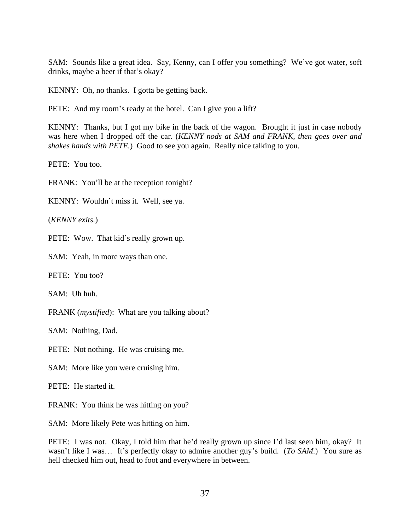SAM: Sounds like a great idea. Say, Kenny, can I offer you something? We've got water, soft drinks, maybe a beer if that's okay?

KENNY: Oh, no thanks. I gotta be getting back.

PETE: And my room's ready at the hotel. Can I give you a lift?

KENNY: Thanks, but I got my bike in the back of the wagon. Brought it just in case nobody was here when I dropped off the car. (*KENNY nods at SAM and FRANK, then goes over and shakes hands with PETE.*) Good to see you again. Really nice talking to you.

PETE: You too.

FRANK: You'll be at the reception tonight?

KENNY: Wouldn't miss it. Well, see ya.

(*KENNY exits.*)

PETE: Wow. That kid's really grown up.

SAM: Yeah, in more ways than one.

PETE: You too?

SAM: Uh huh.

FRANK (*mystified*): What are you talking about?

SAM: Nothing, Dad.

PETE: Not nothing. He was cruising me.

SAM: More like you were cruising him.

PETE: He started it.

FRANK: You think he was hitting on you?

SAM: More likely Pete was hitting on him.

PETE: I was not. Okay, I told him that he'd really grown up since I'd last seen him, okay? It wasn't like I was… It's perfectly okay to admire another guy's build. (*To SAM.*) You sure as hell checked him out, head to foot and everywhere in between.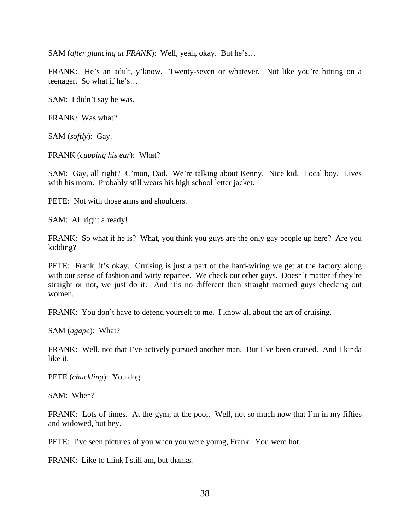SAM (*after glancing at FRANK*): Well, yeah, okay. But he's…

FRANK: He's an adult, y'know. Twenty-seven or whatever. Not like you're hitting on a teenager. So what if he's…

SAM: I didn't say he was.

FRANK: Was what?

SAM (*softly*): Gay.

FRANK (*cupping his ear*): What?

SAM: Gay, all right? C'mon, Dad. We're talking about Kenny. Nice kid. Local boy. Lives with his mom. Probably still wears his high school letter jacket.

PETE: Not with those arms and shoulders.

SAM: All right already!

FRANK: So what if he is? What, you think you guys are the only gay people up here? Are you kidding?

PETE: Frank, it's okay. Cruising is just a part of the hard-wiring we get at the factory along with our sense of fashion and witty repartee. We check out other guys. Doesn't matter if they're straight or not, we just do it. And it's no different than straight married guys checking out women.

FRANK: You don't have to defend yourself to me. I know all about the art of cruising.

SAM (*agape*): What?

FRANK: Well, not that I've actively pursued another man. But I've been cruised. And I kinda like it.

PETE (*chuckling*): You dog.

SAM: When?

FRANK: Lots of times. At the gym, at the pool. Well, not so much now that I'm in my fifties and widowed, but hey.

PETE: I've seen pictures of you when you were young, Frank. You were hot.

FRANK: Like to think I still am, but thanks.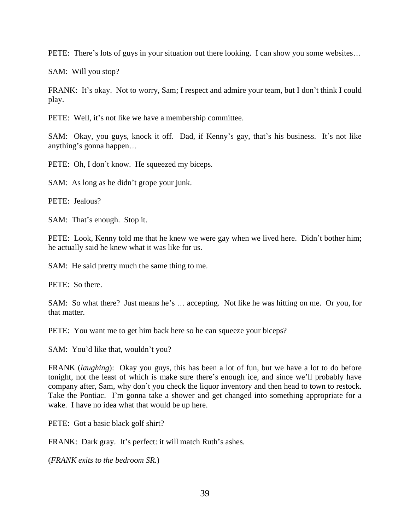PETE: There's lots of guys in your situation out there looking. I can show you some websites…

SAM: Will you stop?

FRANK: It's okay. Not to worry, Sam; I respect and admire your team, but I don't think I could play.

PETE: Well, it's not like we have a membership committee.

SAM: Okay, you guys, knock it off. Dad, if Kenny's gay, that's his business. It's not like anything's gonna happen…

PETE: Oh, I don't know. He squeezed my biceps.

SAM: As long as he didn't grope your junk.

PETE: Jealous?

SAM: That's enough. Stop it.

PETE: Look, Kenny told me that he knew we were gay when we lived here. Didn't bother him; he actually said he knew what it was like for us.

SAM: He said pretty much the same thing to me.

PETE: So there.

SAM: So what there? Just means he's … accepting. Not like he was hitting on me. Or you, for that matter.

PETE: You want me to get him back here so he can squeeze your biceps?

SAM: You'd like that, wouldn't you?

FRANK (*laughing*): Okay you guys, this has been a lot of fun, but we have a lot to do before tonight, not the least of which is make sure there's enough ice, and since we'll probably have company after, Sam, why don't you check the liquor inventory and then head to town to restock. Take the Pontiac. I'm gonna take a shower and get changed into something appropriate for a wake. I have no idea what that would be up here.

PETE: Got a basic black golf shirt?

FRANK: Dark gray. It's perfect: it will match Ruth's ashes.

(*FRANK exits to the bedroom SR.*)